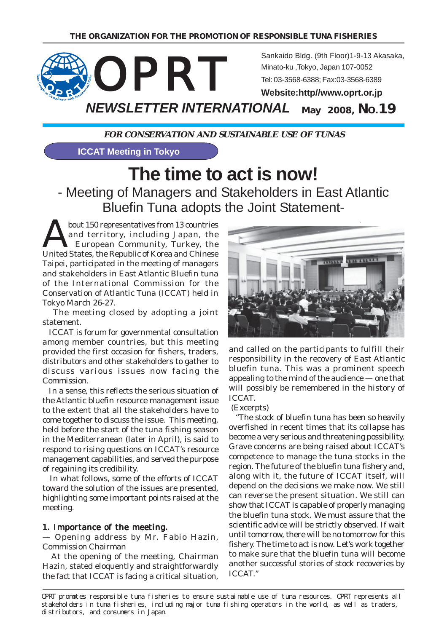

**FOR CONSERVATION AND SUSTAINABLE USE OF TUNAS**

**ICCAT Meeting in Tokyo**

# **The time to act is now!** - Meeting of Managers and Stakeholders in East Atlantic

Bluefin Tuna adopts the Joint Statement-

bout 150 representatives from 13 countries<br>and territory, including Japan, the<br>European Community, Turkey, the and territory, including Japan, the European Community, Turkey, the United States, the Republic of Korea and Chinese Taipei, participated in the meeting of managers and stakeholders in East Atlantic Bluefin tuna of the International Commission for the Conservation of Atlantic Tuna (ICCAT) held in Tokyo March 26-27.

 The meeting closed by adopting a joint statement.

 ICCAT is forum for governmental consultation among member countries, but this meeting provided the first occasion for fishers, traders, distributors and other stakeholders to gather to discuss various issues now facing the Commission.

 In a sense, this reflects the serious situation of the Atlantic bluefin resource management issue to the extent that all the stakeholders have to come together to discuss the issue. This meeting, held before the start of the tuna fishing season in the Mediterranean (later in April), is said to respond to rising questions on ICCAT's resource management capabilities, and served the purpose of regaining its credibility.

 In what follows, some of the efforts of ICCAT toward the solution of the issues are presented, highlighting some important points raised at the meeting.

### 1. Importance of the meeting.

— Opening address by Mr. Fabio Hazin, Commission Chairman

 At the opening of the meeting, Chairman Hazin, stated eloquently and straightforwardly the fact that ICCAT is facing a critical situation,



and called on the participants to fulfill their responsibility in the recovery of East Atlantic bluefin tuna. This was a prominent speech appealing to the mind of the audience — one that will possibly be remembered in the history of ICCAT.

### (Excerpts)

 "The stock of bluefin tuna has been so heavily overfished in recent times that its collapse has become a very serious and threatening possibility. Grave concerns are being raised about ICCAT's competence to manage the tuna stocks in the region. The future of the bluefin tuna fishery and, along with it, the future of ICCAT itself, will depend on the decisions we make now. We still can reverse the present situation. We still can show that ICCAT is capable of properly managing the bluefin tuna stock. We must assure that the scientific advice will be strictly observed. If wait until tomorrow, there will be no tomorrow for this fishery. The time to act is now. Let's work together to make sure that the bluefin tuna will become another successful stories of stock recoveries by ICCAT."

OPRT promotes responsible tuna fisheries to ensure sustainable use of tuna resources. OPRT represents all stakeholders in tuna fisheries, including major tuna fishing operators in the world, as well as traders, distributors, and consumers in Japan.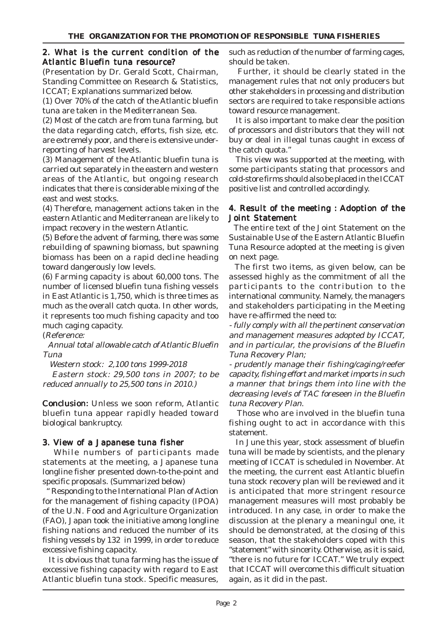### 2. What is the current condition of the Atlantic Bluefin tuna resource?

(Presentation by Dr. Gerald Scott, Chairman, Standing Committee on Research & Statistics, ICCAT; Explanations summarized below.

(1) Over 70% of the catch of the Atlantic bluefin tuna are taken in the Mediterranean Sea.

(2) Most of the catch are from tuna farming, but the data regarding catch, efforts, fish size, etc. are extremely poor, and there is extensive underreporting of harvest levels.

(3) Management of the Atlantic bluefin tuna is carried out separately in the eastern and western areas of the Atlantic, but ongoing research indicates that there is considerable mixing of the east and west stocks.

(4) Therefore, management actions taken in the eastern Atlantic and Mediterranean are likely to impact recovery in the western Atlantic.

(5) Before the advent of farming, there was some rebuilding of spawning biomass, but spawning biomass has been on a rapid decline heading toward dangerously low levels.

(6) Farming capacity is about 60,000 tons. The number of licensed bluefin tuna fishing vessels in East Atlantic is 1,750, which is three times as much as the overall catch quota. In other words, it represents too much fishing capacity and too much caging capacity.

(Reference:

 Annual total allowable catch of Atlantic Bluefin Tuna

Western stock: 2,100 tons 1999-2018

 Eastern stock: 29,500 tons in 2007; to be reduced annually to 25,500 tons in 2010.)

**Conclusion:** Unless we soon reform, Atlantic bluefin tuna appear rapidly headed toward biological bankruptcy.

### 3. View of a Japanese tuna fisher

While numbers of participants made statements at the meeting, a Japanese tuna longline fisher presented down-to-the-point and specific proposals. (Summarized below)

Responding to the International Plan of Action for the management of fishing capacity (IPOA) of the U.N. Food and Agriculture Organization (FAO), Japan took the initiative among longline fishing nations and reduced the number of its fishing vessels by 132 in 1999, in order to reduce excessive fishing capacity.

 It is obvious that tuna farming has the issue of excessive fishing capacity with regard to East Atlantic bluefin tuna stock. Specific measures,

such as reduction of the number of farming cages, should be taken.

 Further, it should be clearly stated in the management rules that not only producers but other stakeholders in processing and distribution sectors are required to take responsible actions toward resource management.

 It is also important to make clear the position of processors and distributors that they will not buy or deal in illegal tunas caught in excess of the catch quota."

 This view was supported at the meeting, with some participants stating that processors and cold-store firms should also be placed in the ICCAT positive list and controlled accordingly.

### 4. Result of the meeting : Adoption of the Joint Statement

 The entire text of the Joint Statement on the Sustainable Use of the Eastern Atlantic Bluefin Tuna Resource adopted at the meeting is given on next page.

 The first two items, as given below, can be assessed highly as the commitment of all the participants to the contribution to the international community. Namely, the managers and stakeholders participating in the Meeting have re-affirmed the need to:

- fully comply with all the pertinent conservation and management measures adopted by ICCAT, and in particular, the provisions of the Bluefin Tuna Recovery Plan;

- prudently manage their fishing/caging/reefer capacity, fishing effort and market imports in such a manner that brings them into line with the decreasing levels of TAC foreseen in the Bluefin tuna Recovery Plan.

 Those who are involved in the bluefin tuna fishing ought to act in accordance with this statement.

 In June this year, stock assessment of bluefin tuna will be made by scientists, and the plenary meeting of ICCAT is scheduled in November. At the meeting, the current east Atlantic bluefin tuna stock recovery plan will be reviewed and it is anticipated that more stringent resource management measures will most probably be introduced. In any case, in order to make the discussion at the plenary a meaningul one, it should be demonstrated, at the closing of this season, that the stakeholders coped with this "statement" with sincerity. Otherwise, as it is said, "there is no future for ICCAT." We truly expect that ICCAT will overcome this difficult situation again, as it did in the past.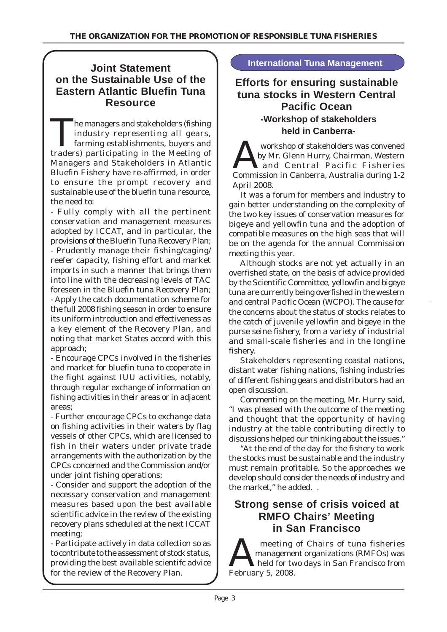# **International Tuna Management Joint Statement on the Sustainable Use of the Eastern Atlantic Bluefin Tuna Resource**

The managers and stakeholders (fishing<br>
industry representing all gears,<br>
farming establishments, buyers and<br>
traders) porticipating in the Meeting of industry representing all gears, traders) participating in the Meeting of Managers and Stakeholders in Atlantic Bluefin Fishery have re-affirmed, in order to ensure the prompt recovery and sustainable use of the bluefin tuna resource, the need to:

- Fully comply with all the pertinent conservation and management measures adopted by ICCAT, and in particular, the provisions of the Bluefin Tuna Recovery Plan; - Prudently manage their fishing/caging/ reefer capacity, fishing effort and market imports in such a manner that brings them into line with the decreasing levels of TAC foreseen in the Bluefin tuna Recovery Plan; - Apply the catch documentation scheme for the full 2008 fishing season in order to ensure its uniform introduction and effectiveness as a key element of the Recovery Plan, and noting that market States accord with this approach;

- Encourage CPCs involved in the fisheries and market for bluefin tuna to cooperate in the fight against IUU activities, notably, through regular exchange of information on fishing activities in their areas or in adjacent areas;

- Further encourage CPCs to exchange data on fishing activities in their waters by flag vessels of other CPCs, which are licensed to fish in their waters under private trade arrangements with the authorization by the CPCs concerned and the Commission and/or under joint fishing operations;

- Consider and support the adoption of the necessary conservation and management measures based upon the best available scientific advice in the review of the existing recovery plans scheduled at the next ICCAT meeting;

- Participate actively in data collection so as to contribute to the assessment of stock status, providing the best available scientifc advice for the review of the Recovery Plan.

# **Efforts for ensuring sustainable tuna stocks in Western Central Pacific Ocean -Workshop of stakeholders held in Canberra-**

Workshop of stakeholders was convened<br>by Mr. Glenn Hurry, Chairman, Western<br>and Central Pacific Fisheries by Mr. Glenn Hurry, Chairman, Western and Central Pacific Fisheries Commission in Canberra, Australia during 1-2 April 2008.

It was a forum for members and industry to gain better understanding on the complexity of the two key issues of conservation measures for bigeye and yellowfin tuna and the adoption of compatible measures on the high seas that will be on the agenda for the annual Commission meeting this year.

Although stocks are not yet actually in an overfished state, on the basis of advice provided by the Scientific Committee, yellowfin and bigeye tuna are currently being overfished in the western and central Pacific Ocean (WCPO). The cause for the concerns about the status of stocks relates to the catch of juvenile yellowfin and bigeye in the purse seine fishery, from a variety of industrial and small-scale fisheries and in the longline fishery.

Stakeholders representing coastal nations, distant water fishing nations, fishing industries of different fishing gears and distributors had an open discussion.

Commenting on the meeting, Mr. Hurry said, "I was pleased with the outcome of the meeting and thought that the opportunity of having industry at the table contributing directly to discussions helped our thinking about the issues."

"At the end of the day for the fishery to work the stocks must be sustainable and the industry must remain profitable. So the approaches we develop should consider the needs of industry and the market," he added. .

# **Strong sense of crisis voiced at RMFO Chairs' Meeting in San Francisco**

meeting of Chairs of tuna fisheries<br>
management organizations (RMFOs) was<br>
February 5, 2009 management organizations (RMFOs) was February 5, 2008.